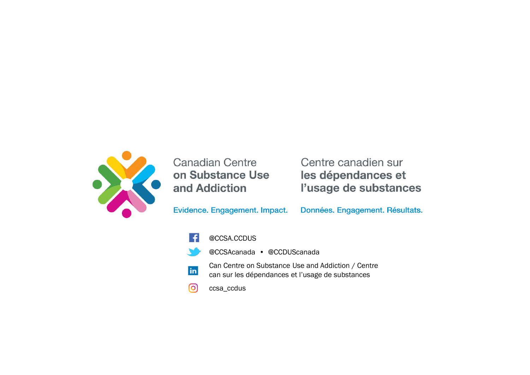

**Canadian Centre** on Substance Use and Addiction

Centre canadien sur les dépendances et l'usage de substances

Evidence. Engagement. Impact.

Données. Engagement. Résultats.





@CCSAcanada • @CCDUScanada

Can Centre on Substance Use and Addiction / Centre in can sur les dépendances et l'usage de substances

 $\odot$ ccsa\_ccdus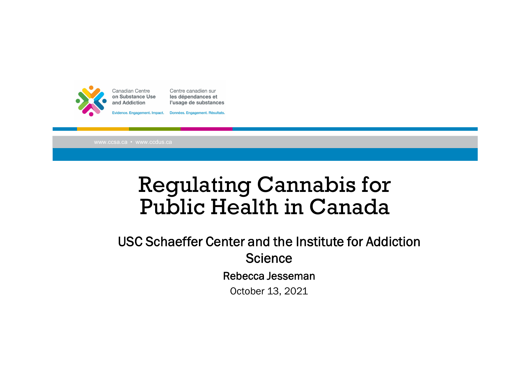

### Regulating Cannabis for Public Health in Canada

USC Schaeffer Center and the Institute for Addiction **Science** 

Rebecca Jesseman

October 13, 2021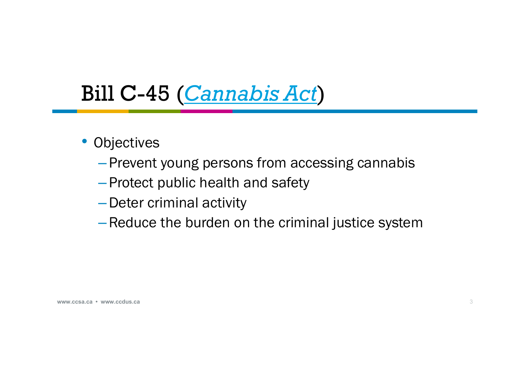# Bill C-45 (*Cannabis Act*)

- Objectives
	- Prevent young persons from accessing cannabis
	- Protect public health and safety
	- –Deter criminal activity
	- –Reduce the burden on the criminal justice system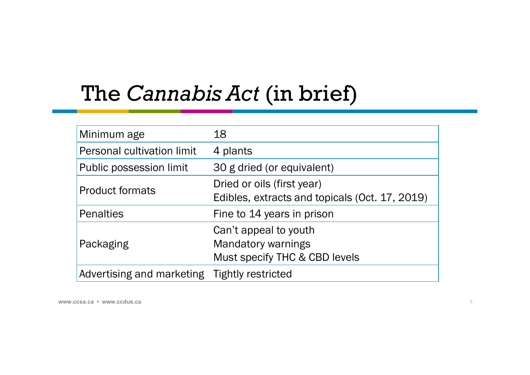# The *Cannabis Act* (in brief)

| Minimum age                | 18                                                                                  |
|----------------------------|-------------------------------------------------------------------------------------|
| Personal cultivation limit | 4 plants                                                                            |
| Public possession limit    | 30 g dried (or equivalent)                                                          |
| <b>Product formats</b>     | Dried or oils (first year)<br>Edibles, extracts and topicals (Oct. 17, 2019)        |
| <b>Penalties</b>           | Fine to 14 years in prison                                                          |
| Packaging                  | Can't appeal to youth<br><b>Mandatory warnings</b><br>Must specify THC & CBD levels |
| Advertising and marketing  | <b>Tightly restricted</b>                                                           |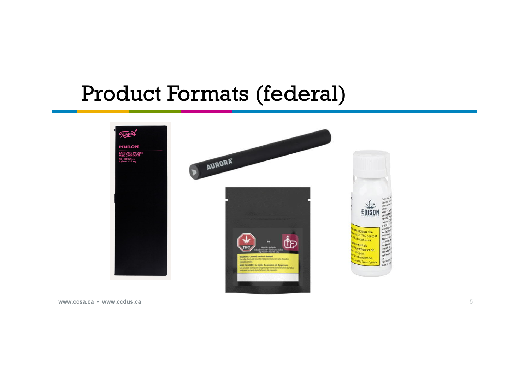### Product Formats (federal)

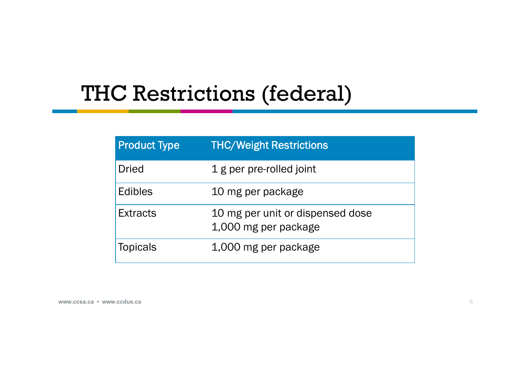# THC Restrictions (federal)

| <b>Product Type</b> | <b>THC/Weight Restrictions</b>                           |
|---------------------|----------------------------------------------------------|
| <b>Dried</b>        | 1 g per pre-rolled joint                                 |
| Edibles             | 10 mg per package                                        |
| <b>Extracts</b>     | 10 mg per unit or dispensed dose<br>1,000 mg per package |
| <b>Topicals</b>     | 1,000 mg per package                                     |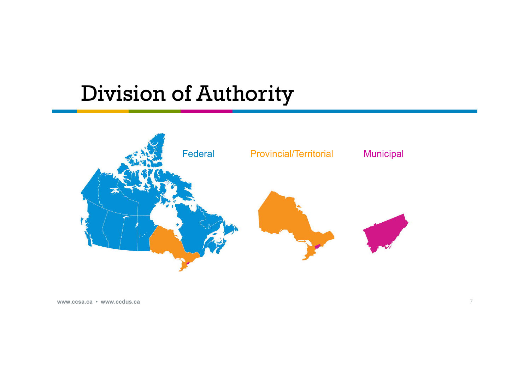# Division of Authority

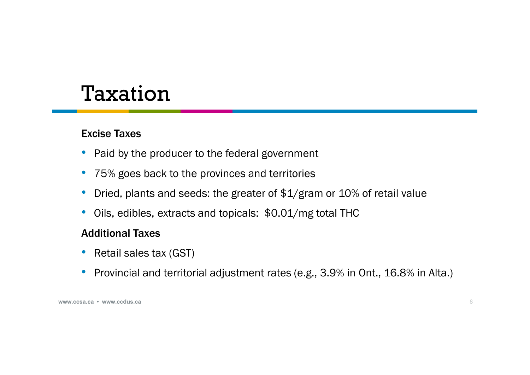### Taxation

#### Excise Taxes

- Paid by the producer to the federal government
- 75% goes back to the provinces and territories
- Dried, plants and seeds: the greater of \$1/gram or 10% of retail value
- Oils, edibles, extracts and topicals: \$0.01/mg total THC

#### Additional Taxes

- Retail sales tax (GST)
- Provincial and territorial adjustment rates (e.g., 3.9% in Ont., 16.8% in Alta.)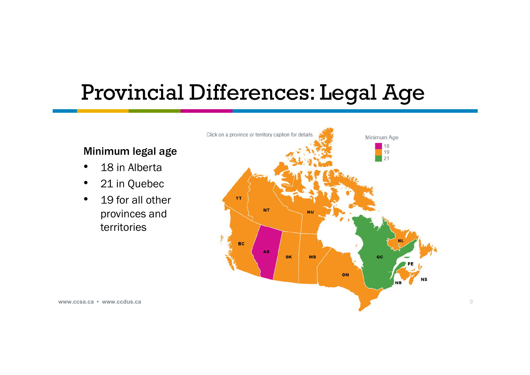# Provincial Differences: Legal Age

#### Minimum legal age

- 18 in Alberta
- 21 in Quebec
- 19 for all other provinces and territories

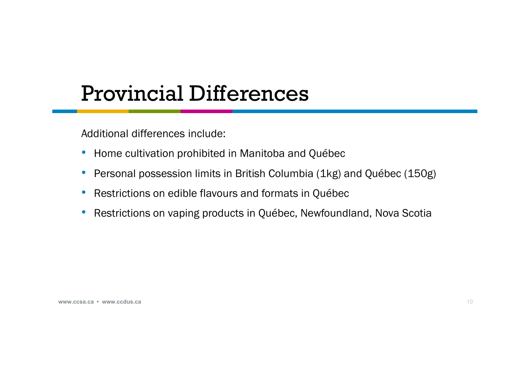# Provincial Differences

Additional differences include:

- Home cultivation prohibited in Manitoba and Québec
- Personal possession limits in British Columbia (1kg) and Québec (150g)
- Restrictions on edible flavours and formats in Québec
- Restrictions on vaping products in Québec, Newfoundland, Nova Scotia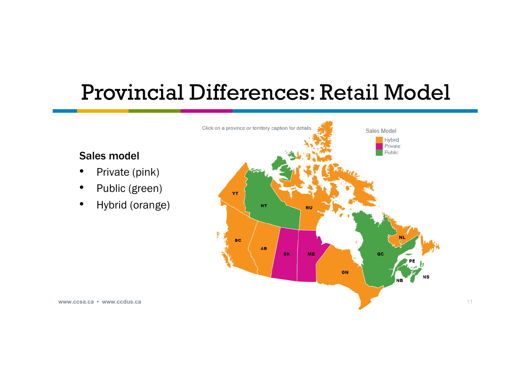# Provincial Differences: Retail Model



#### Sales model

- Private (pink)
- Public (green)
- Hybrid (orange)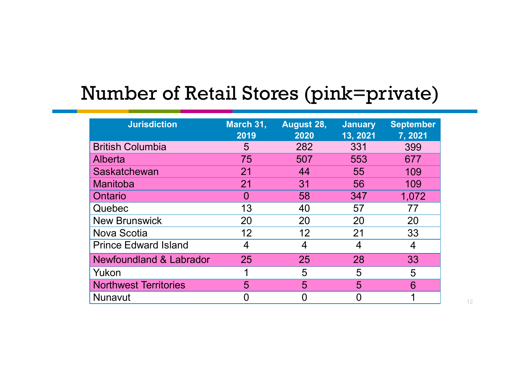### Number of Retail Stores (pink=private)

| <b>Jurisdiction</b>          | <b>March 31,</b><br>2019 | <b>August 28,</b><br>2020 | <b>January</b><br>13, 2021 | <b>September</b><br>7, 2021 |
|------------------------------|--------------------------|---------------------------|----------------------------|-----------------------------|
| <b>British Columbia</b>      | 5                        | 282                       | 331                        | 399                         |
| Alberta                      | 75                       | 507                       | 553                        | 677                         |
| Saskatchewan                 | 21                       | 44                        | 55                         | 109                         |
| <b>Manitoba</b>              | 21                       | 31                        | 56                         | 109                         |
| Ontario                      | $\Omega$                 | 58                        | 347                        | 1,072                       |
| Quebec                       | 13                       | 40                        | 57                         | 77                          |
| <b>New Brunswick</b>         | 20                       | 20                        | 20                         | 20                          |
| Nova Scotia                  | 12                       | 12 <sup>2</sup>           | 21                         | 33                          |
| <b>Prince Edward Island</b>  | 4                        | 4                         | 4                          | 4                           |
| Newfoundland & Labrador      | 25                       | 25                        | 28                         | 33                          |
| Yukon                        |                          | 5                         | 5                          | 5                           |
| <b>Northwest Territories</b> | 5                        | 5                         | 5                          | 6                           |
| <b>Nunavut</b>               | 0                        | 0                         |                            |                             |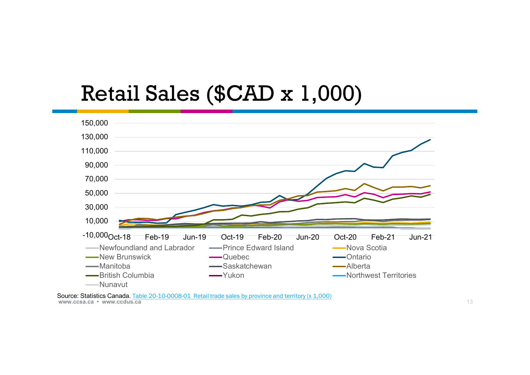### Retail Sales (\$CAD x 1,000)



**www.ccsa.ca • www.ccdus.ca** 13 Source: Statistics Canada. Table 20-10-0008-01 Retail trade sales by province and territory (x 1,000)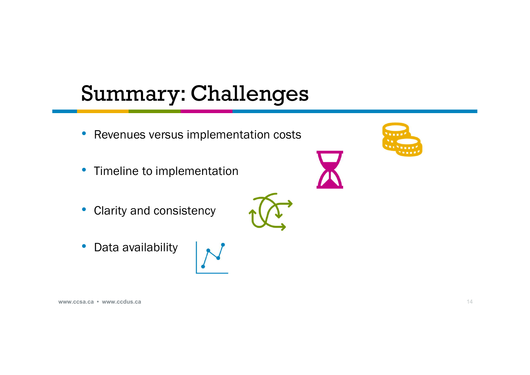# Summary: Challenges

- Revenues versus implementation costs
- Timeline to implementation
- Clarity and consistency
- Data availability



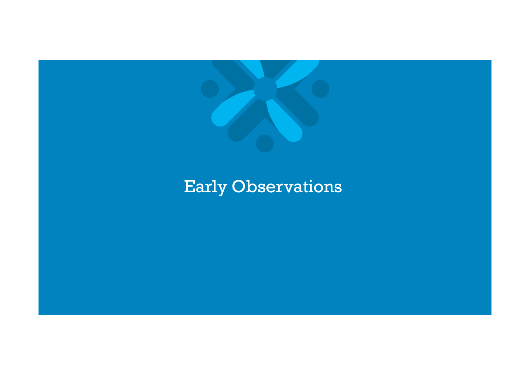

### Early Observations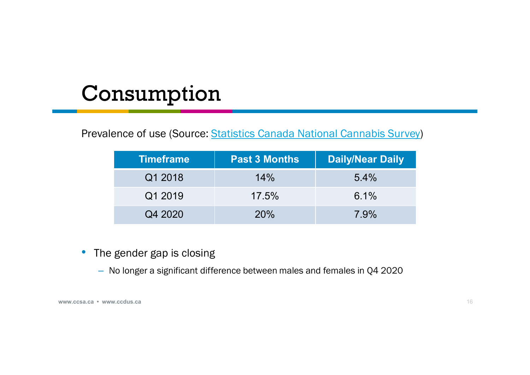# Consumption

### Prevalence of use (Source: Statistics Canada National Cannabis Survey)

| <b>Timeframe</b> | <b>Past 3 Months</b> | <b>Daily/Near Daily</b> |
|------------------|----------------------|-------------------------|
| Q1 2018          | 14%                  | $5.4\%$                 |
| Q1 2019          | 17.5%                | $6.1\%$                 |
| Q4 2020          | <b>20%</b>           | 7.9%                    |

- The gender gap is closing
	- No longer a significant difference between males and females in Q4 2020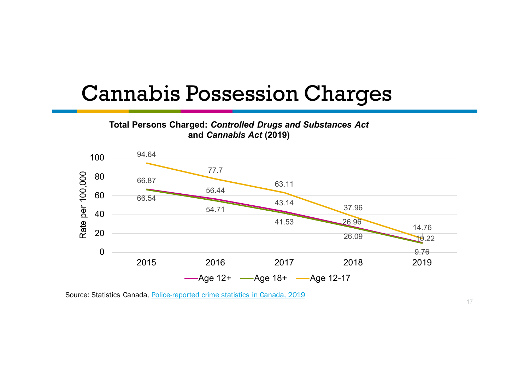### Cannabis Possession Charges



Source: Statistics Canada, Police-reported crime statistics in Canada, 2019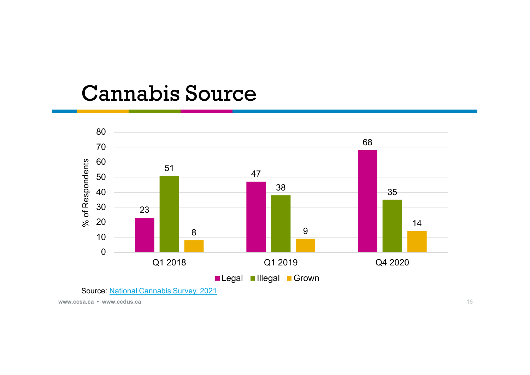### Cannabis Source

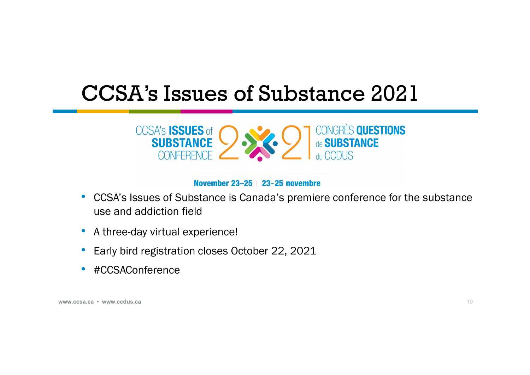# CCSA's Issues of Substance 2021



#### November 23-25 | 23-25 novembre

- CCSA's Issues of Substance is Canada's premiere conference for the substance use and addiction field
- A three-day virtual experience!
- Early bird registration closes October 22, 2021
- #CCSAConference